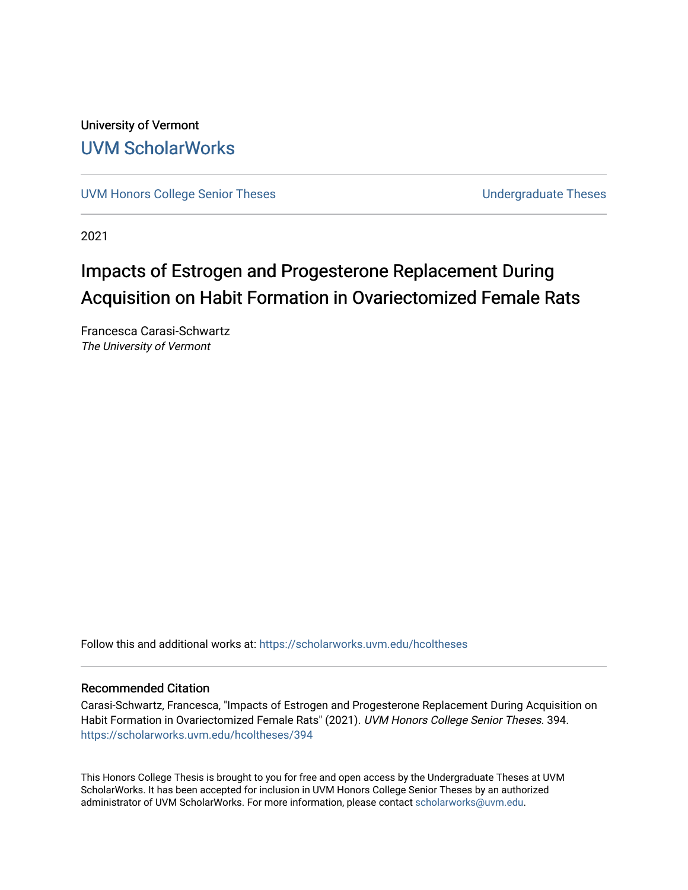University of Vermont [UVM ScholarWorks](https://scholarworks.uvm.edu/)

[UVM Honors College Senior Theses](https://scholarworks.uvm.edu/hcoltheses) **Exercise Sension College Senior Theses** Undergraduate Theses

2021

# Impacts of Estrogen and Progesterone Replacement During Acquisition on Habit Formation in Ovariectomized Female Rats

Francesca Carasi-Schwartz The University of Vermont

Follow this and additional works at: [https://scholarworks.uvm.edu/hcoltheses](https://scholarworks.uvm.edu/hcoltheses?utm_source=scholarworks.uvm.edu%2Fhcoltheses%2F394&utm_medium=PDF&utm_campaign=PDFCoverPages) 

#### Recommended Citation

Carasi-Schwartz, Francesca, "Impacts of Estrogen and Progesterone Replacement During Acquisition on Habit Formation in Ovariectomized Female Rats" (2021). UVM Honors College Senior Theses. 394. [https://scholarworks.uvm.edu/hcoltheses/394](https://scholarworks.uvm.edu/hcoltheses/394?utm_source=scholarworks.uvm.edu%2Fhcoltheses%2F394&utm_medium=PDF&utm_campaign=PDFCoverPages) 

This Honors College Thesis is brought to you for free and open access by the Undergraduate Theses at UVM ScholarWorks. It has been accepted for inclusion in UVM Honors College Senior Theses by an authorized administrator of UVM ScholarWorks. For more information, please contact [scholarworks@uvm.edu](mailto:scholarworks@uvm.edu).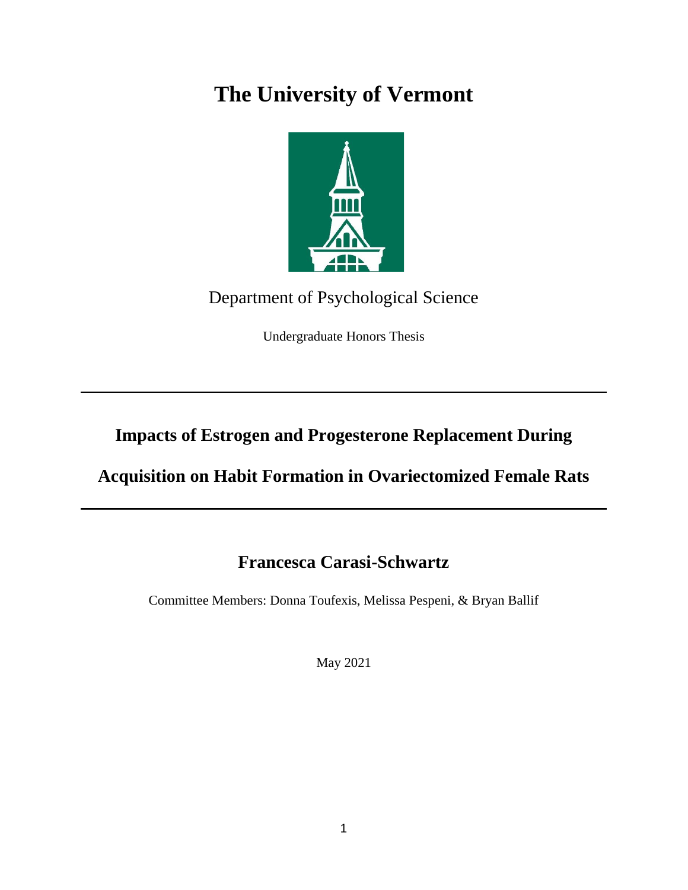# **The University of Vermont**



## Department of Psychological Science

Undergraduate Honors Thesis

## **Impacts of Estrogen and Progesterone Replacement During**

## **Acquisition on Habit Formation in Ovariectomized Female Rats**

## **Francesca Carasi-Schwartz**

Committee Members: Donna Toufexis, Melissa Pespeni, & Bryan Ballif

May 2021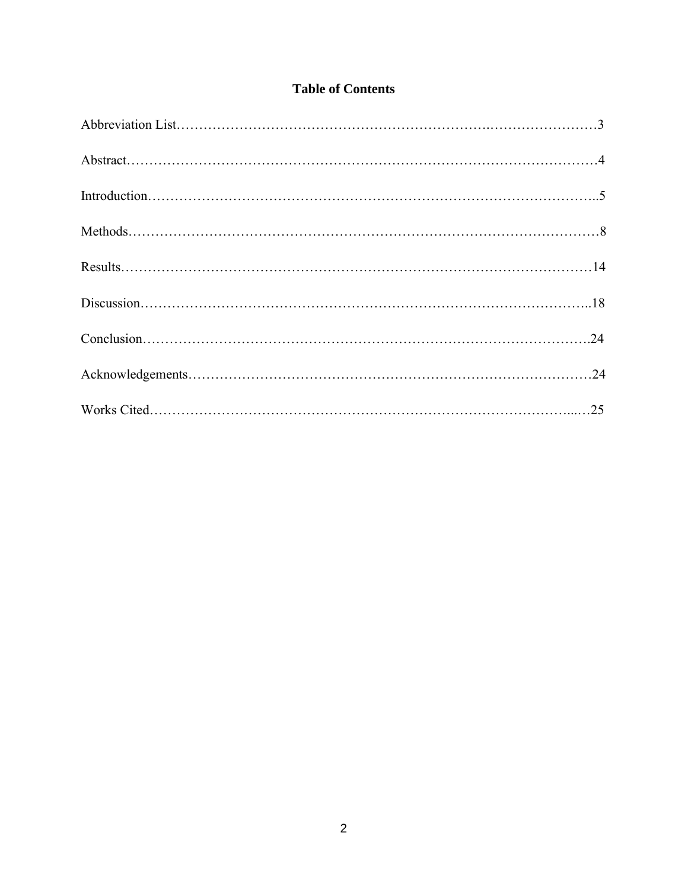### **Table of Contents**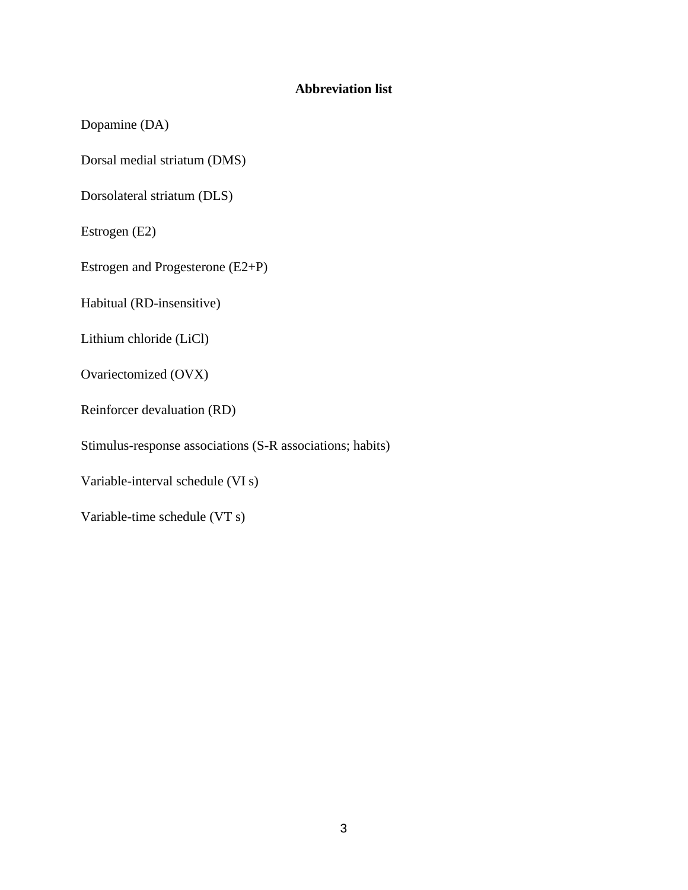### **Abbreviation list**

Dopamine (DA)

Dorsal medial striatum (DMS)

Dorsolateral striatum (DLS)

Estrogen (E2)

Estrogen and Progesterone (E2+P)

Habitual (RD-insensitive)

Lithium chloride (LiCl)

Ovariectomized (OVX)

Reinforcer devaluation (RD)

Stimulus-response associations (S-R associations; habits)

Variable-interval schedule (VI s)

Variable-time schedule (VT s)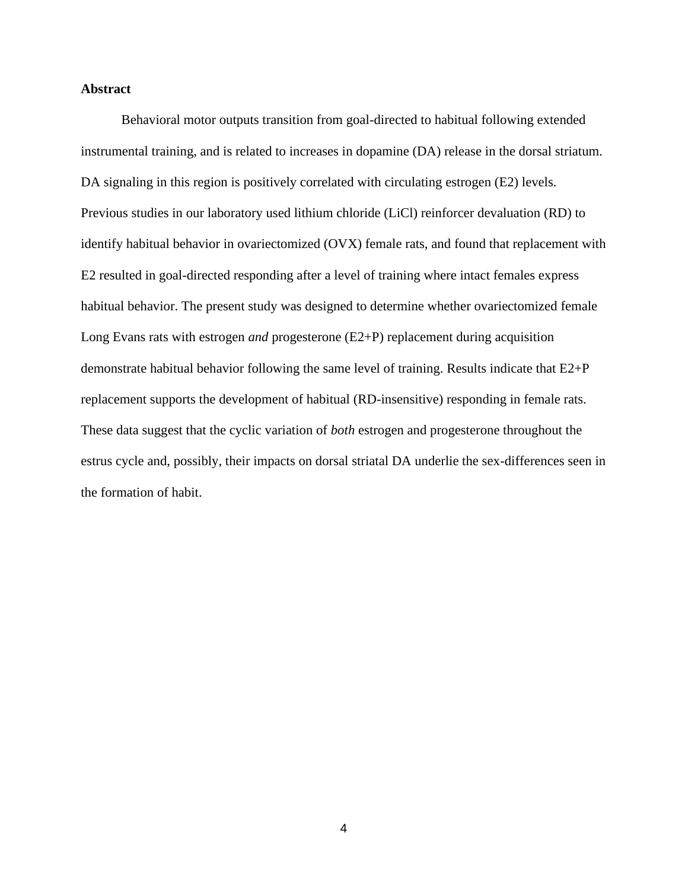#### **Abstract**

Behavioral motor outputs transition from goal-directed to habitual following extended instrumental training, and is related to increases in dopamine (DA) release in the dorsal striatum. DA signaling in this region is positively correlated with circulating estrogen (E2) levels. Previous studies in our laboratory used lithium chloride (LiCl) reinforcer devaluation (RD) to identify habitual behavior in ovariectomized (OVX) female rats, and found that replacement with E2 resulted in goal-directed responding after a level of training where intact females express habitual behavior. The present study was designed to determine whether ovariectomized female Long Evans rats with estrogen *and* progesterone (E2+P) replacement during acquisition demonstrate habitual behavior following the same level of training. Results indicate that E2+P replacement supports the development of habitual (RD-insensitive) responding in female rats. These data suggest that the cyclic variation of *both* estrogen and progesterone throughout the estrus cycle and, possibly, their impacts on dorsal striatal DA underlie the sex-differences seen in the formation of habit.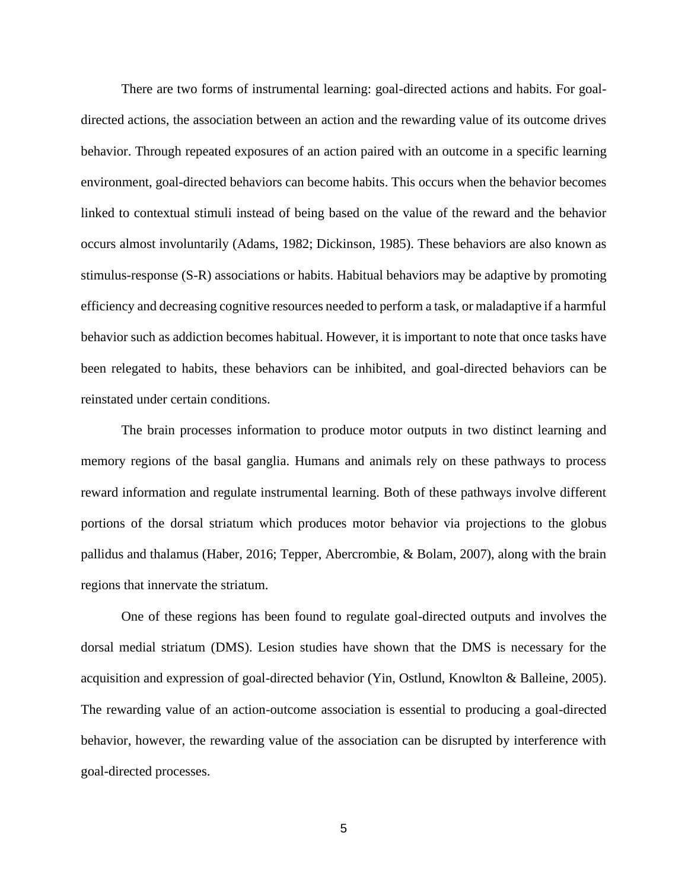There are two forms of instrumental learning: goal-directed actions and habits. For goaldirected actions, the association between an action and the rewarding value of its outcome drives behavior. Through repeated exposures of an action paired with an outcome in a specific learning environment, goal-directed behaviors can become habits. This occurs when the behavior becomes linked to contextual stimuli instead of being based on the value of the reward and the behavior occurs almost involuntarily (Adams, 1982; Dickinson, 1985). These behaviors are also known as stimulus-response (S-R) associations or habits. Habitual behaviors may be adaptive by promoting efficiency and decreasing cognitive resources needed to perform a task, or maladaptive if a harmful behavior such as addiction becomes habitual. However, it is important to note that once tasks have been relegated to habits, these behaviors can be inhibited, and goal-directed behaviors can be reinstated under certain conditions.

The brain processes information to produce motor outputs in two distinct learning and memory regions of the basal ganglia. Humans and animals rely on these pathways to process reward information and regulate instrumental learning. Both of these pathways involve different portions of the dorsal striatum which produces motor behavior via projections to the globus pallidus and thalamus (Haber, 2016; Tepper, Abercrombie, & Bolam, 2007), along with the brain regions that innervate the striatum.

One of these regions has been found to regulate goal-directed outputs and involves the dorsal medial striatum (DMS). Lesion studies have shown that the DMS is necessary for the acquisition and expression of goal-directed behavior (Yin, Ostlund, Knowlton & Balleine, 2005). The rewarding value of an action-outcome association is essential to producing a goal-directed behavior, however, the rewarding value of the association can be disrupted by interference with goal-directed processes.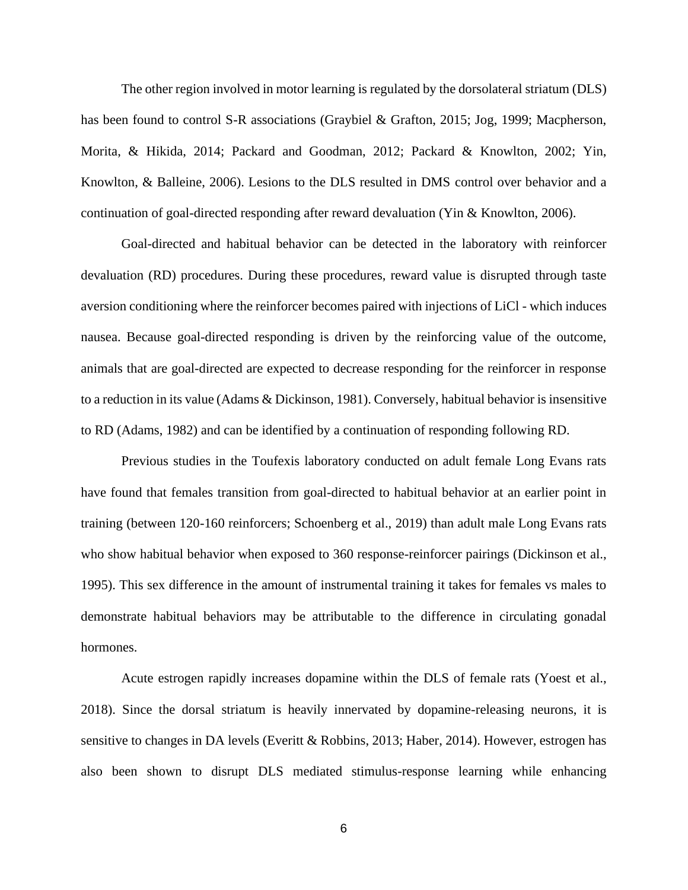The other region involved in motor learning is regulated by the dorsolateral striatum (DLS) has been found to control S-R associations (Graybiel & Grafton, 2015; Jog, 1999; Macpherson, Morita, & Hikida, 2014; Packard and Goodman, 2012; Packard & Knowlton, 2002; Yin, Knowlton, & Balleine, 2006). Lesions to the DLS resulted in DMS control over behavior and a continuation of goal-directed responding after reward devaluation (Yin & Knowlton, 2006).

Goal-directed and habitual behavior can be detected in the laboratory with reinforcer devaluation (RD) procedures. During these procedures, reward value is disrupted through taste aversion conditioning where the reinforcer becomes paired with injections of LiCl - which induces nausea. Because goal-directed responding is driven by the reinforcing value of the outcome, animals that are goal-directed are expected to decrease responding for the reinforcer in response to a reduction in its value (Adams & Dickinson, 1981). Conversely, habitual behavior is insensitive to RD (Adams, 1982) and can be identified by a continuation of responding following RD.

Previous studies in the Toufexis laboratory conducted on adult female Long Evans rats have found that females transition from goal-directed to habitual behavior at an earlier point in training (between 120-160 reinforcers; Schoenberg et al., 2019) than adult male Long Evans rats who show habitual behavior when exposed to 360 response-reinforcer pairings (Dickinson et al., 1995). This sex difference in the amount of instrumental training it takes for females vs males to demonstrate habitual behaviors may be attributable to the difference in circulating gonadal hormones.

Acute estrogen rapidly increases dopamine within the DLS of female rats (Yoest et al., 2018). Since the dorsal striatum is heavily innervated by dopamine-releasing neurons, it is sensitive to changes in DA levels (Everitt & Robbins, 2013; Haber, 2014). However, estrogen has also been shown to disrupt DLS mediated stimulus-response learning while enhancing

6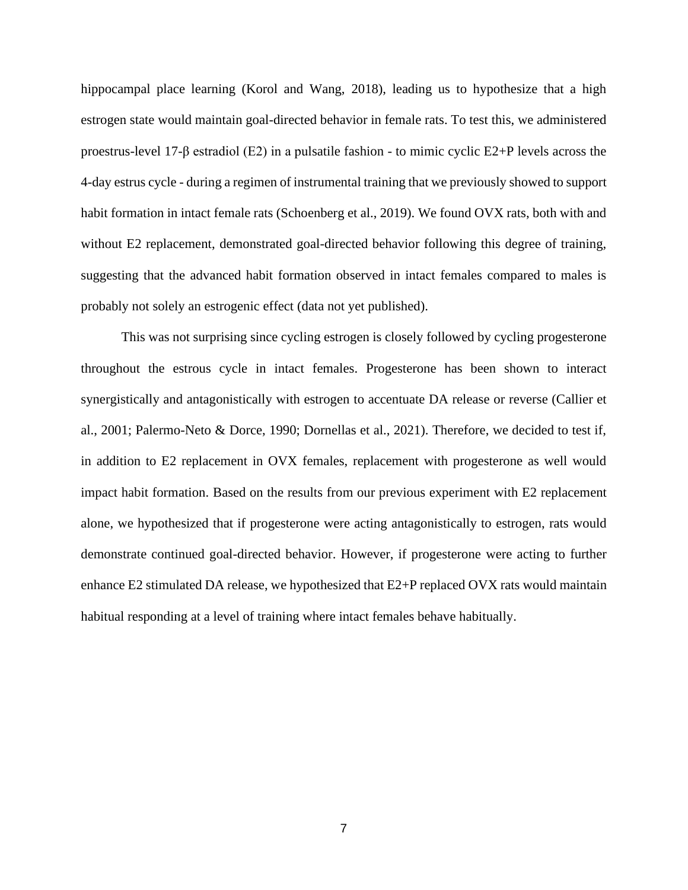hippocampal place learning (Korol and Wang, 2018), leading us to hypothesize that a high estrogen state would maintain goal-directed behavior in female rats. To test this, we administered proestrus-level 17-β estradiol (E2) in a pulsatile fashion - to mimic cyclic E2+P levels across the 4-day estrus cycle - during a regimen of instrumental training that we previously showed to support habit formation in intact female rats (Schoenberg et al., 2019). We found OVX rats, both with and without E2 replacement, demonstrated goal-directed behavior following this degree of training, suggesting that the advanced habit formation observed in intact females compared to males is probably not solely an estrogenic effect (data not yet published).

This was not surprising since cycling estrogen is closely followed by cycling progesterone throughout the estrous cycle in intact females. Progesterone has been shown to interact synergistically and antagonistically with estrogen to accentuate DA release or reverse (Callier et al., 2001; Palermo-Neto & Dorce, 1990; Dornellas et al., 2021). Therefore, we decided to test if, in addition to E2 replacement in OVX females, replacement with progesterone as well would impact habit formation. Based on the results from our previous experiment with E2 replacement alone, we hypothesized that if progesterone were acting antagonistically to estrogen, rats would demonstrate continued goal-directed behavior. However, if progesterone were acting to further enhance E2 stimulated DA release, we hypothesized that E2+P replaced OVX rats would maintain habitual responding at a level of training where intact females behave habitually.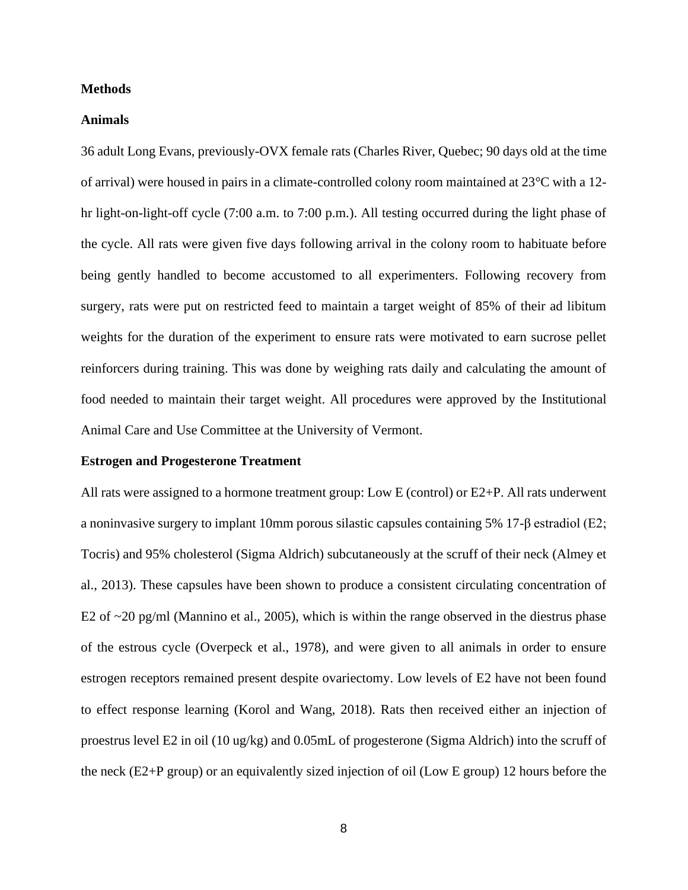#### **Methods**

#### **Animals**

36 adult Long Evans, previously-OVX female rats (Charles River, Quebec; 90 days old at the time of arrival) were housed in pairs in a climate-controlled colony room maintained at 23°C with a 12 hr light-on-light-off cycle (7:00 a.m. to 7:00 p.m.). All testing occurred during the light phase of the cycle. All rats were given five days following arrival in the colony room to habituate before being gently handled to become accustomed to all experimenters. Following recovery from surgery, rats were put on restricted feed to maintain a target weight of 85% of their ad libitum weights for the duration of the experiment to ensure rats were motivated to earn sucrose pellet reinforcers during training. This was done by weighing rats daily and calculating the amount of food needed to maintain their target weight. All procedures were approved by the Institutional Animal Care and Use Committee at the University of Vermont.

#### **Estrogen and Progesterone Treatment**

All rats were assigned to a hormone treatment group: Low E (control) or E2+P. All rats underwent a noninvasive surgery to implant 10mm porous silastic capsules containing 5% 17- $\beta$  estradiol (E2; Tocris) and 95% cholesterol (Sigma Aldrich) subcutaneously at the scruff of their neck (Almey et al., 2013). These capsules have been shown to produce a consistent circulating concentration of E2 of ~20 pg/ml (Mannino et al., 2005), which is within the range observed in the diestrus phase of the estrous cycle (Overpeck et al., 1978), and were given to all animals in order to ensure estrogen receptors remained present despite ovariectomy. Low levels of E2 have not been found to effect response learning (Korol and Wang, 2018). Rats then received either an injection of proestrus level E2 in oil (10 ug/kg) and 0.05mL of progesterone (Sigma Aldrich) into the scruff of the neck (E2+P group) or an equivalently sized injection of oil (Low E group) 12 hours before the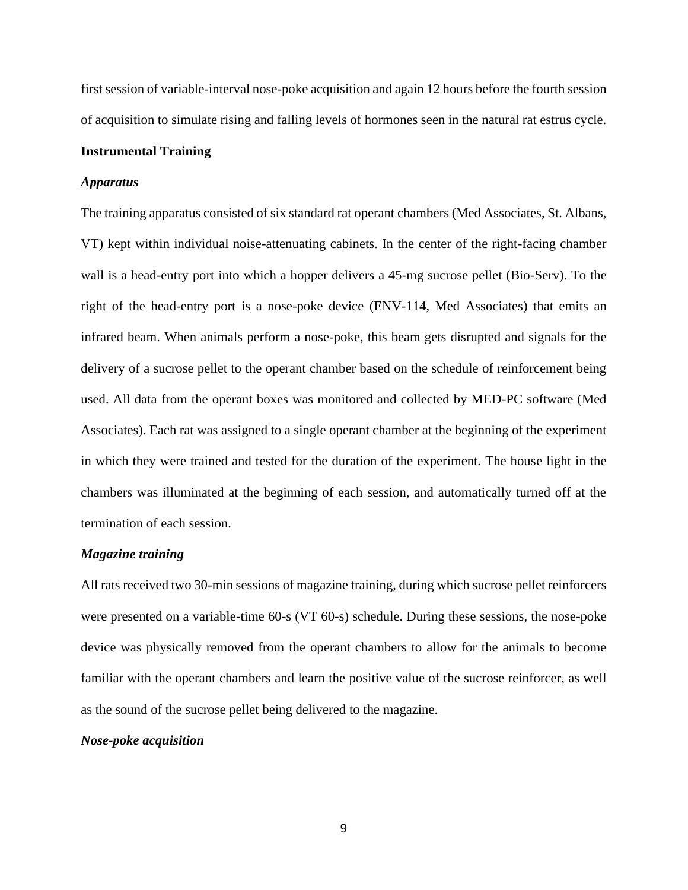first session of variable-interval nose-poke acquisition and again 12 hours before the fourth session of acquisition to simulate rising and falling levels of hormones seen in the natural rat estrus cycle.

#### **Instrumental Training**

#### *Apparatus*

The training apparatus consisted of six standard rat operant chambers (Med Associates, St. Albans, VT) kept within individual noise-attenuating cabinets. In the center of the right-facing chamber wall is a head-entry port into which a hopper delivers a 45-mg sucrose pellet (Bio-Serv). To the right of the head-entry port is a nose-poke device (ENV-114, Med Associates) that emits an infrared beam. When animals perform a nose-poke, this beam gets disrupted and signals for the delivery of a sucrose pellet to the operant chamber based on the schedule of reinforcement being used. All data from the operant boxes was monitored and collected by MED-PC software (Med Associates). Each rat was assigned to a single operant chamber at the beginning of the experiment in which they were trained and tested for the duration of the experiment. The house light in the chambers was illuminated at the beginning of each session, and automatically turned off at the termination of each session.

#### *Magazine training*

All rats received two 30-min sessions of magazine training, during which sucrose pellet reinforcers were presented on a variable-time 60-s (VT 60-s) schedule. During these sessions, the nose-poke device was physically removed from the operant chambers to allow for the animals to become familiar with the operant chambers and learn the positive value of the sucrose reinforcer, as well as the sound of the sucrose pellet being delivered to the magazine.

#### *Nose-poke acquisition*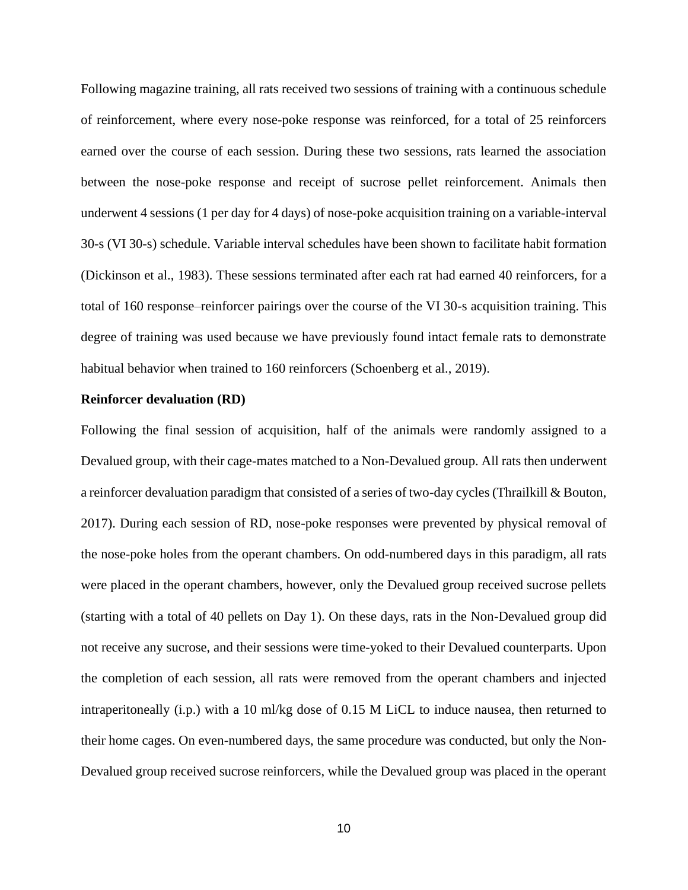Following magazine training, all rats received two sessions of training with a continuous schedule of reinforcement, where every nose-poke response was reinforced, for a total of 25 reinforcers earned over the course of each session. During these two sessions, rats learned the association between the nose-poke response and receipt of sucrose pellet reinforcement. Animals then underwent 4 sessions (1 per day for 4 days) of nose-poke acquisition training on a variable-interval 30-s (VI 30-s) schedule. Variable interval schedules have been shown to facilitate habit formation (Dickinson et al., 1983). These sessions terminated after each rat had earned 40 reinforcers, for a total of 160 response–reinforcer pairings over the course of the VI 30-s acquisition training. This degree of training was used because we have previously found intact female rats to demonstrate habitual behavior when trained to 160 reinforcers (Schoenberg et al., 2019).

#### **Reinforcer devaluation (RD)**

Following the final session of acquisition, half of the animals were randomly assigned to a Devalued group, with their cage-mates matched to a Non-Devalued group. All rats then underwent a reinforcer devaluation paradigm that consisted of a series of two-day cycles (Thrailkill & Bouton, 2017). During each session of RD, nose-poke responses were prevented by physical removal of the nose-poke holes from the operant chambers. On odd-numbered days in this paradigm, all rats were placed in the operant chambers, however, only the Devalued group received sucrose pellets (starting with a total of 40 pellets on Day 1). On these days, rats in the Non-Devalued group did not receive any sucrose, and their sessions were time-yoked to their Devalued counterparts. Upon the completion of each session, all rats were removed from the operant chambers and injected intraperitoneally (i.p.) with a 10 ml/kg dose of 0.15 M LiCL to induce nausea, then returned to their home cages. On even-numbered days, the same procedure was conducted, but only the Non-Devalued group received sucrose reinforcers, while the Devalued group was placed in the operant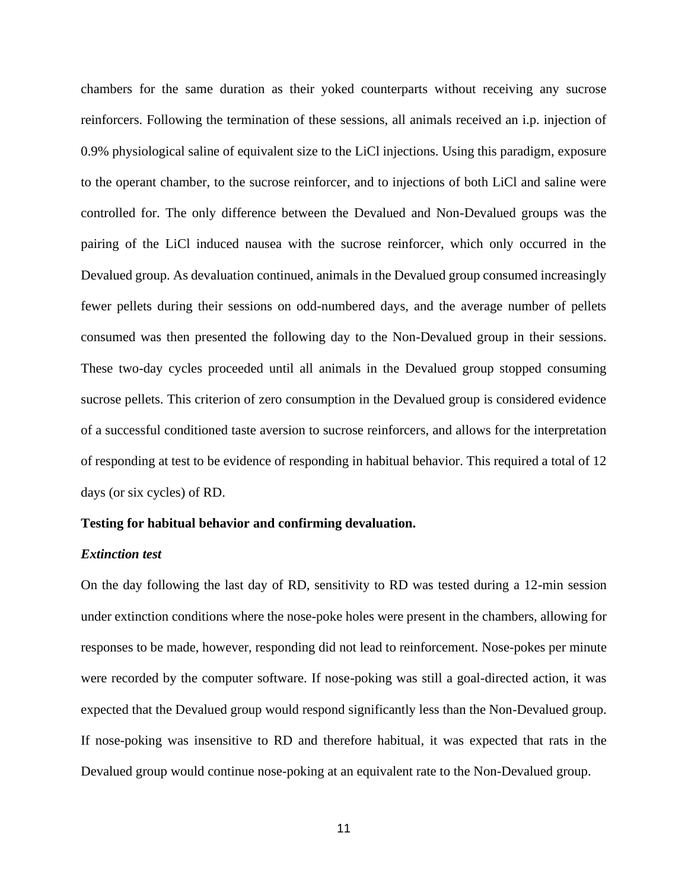chambers for the same duration as their yoked counterparts without receiving any sucrose reinforcers. Following the termination of these sessions, all animals received an i.p. injection of 0.9% physiological saline of equivalent size to the LiCl injections. Using this paradigm, exposure to the operant chamber, to the sucrose reinforcer, and to injections of both LiCl and saline were controlled for. The only difference between the Devalued and Non-Devalued groups was the pairing of the LiCl induced nausea with the sucrose reinforcer, which only occurred in the Devalued group. As devaluation continued, animals in the Devalued group consumed increasingly fewer pellets during their sessions on odd-numbered days, and the average number of pellets consumed was then presented the following day to the Non-Devalued group in their sessions. These two-day cycles proceeded until all animals in the Devalued group stopped consuming sucrose pellets. This criterion of zero consumption in the Devalued group is considered evidence of a successful conditioned taste aversion to sucrose reinforcers, and allows for the interpretation of responding at test to be evidence of responding in habitual behavior. This required a total of 12 days (or six cycles) of RD.

#### **Testing for habitual behavior and confirming devaluation.**

#### *Extinction test*

On the day following the last day of RD, sensitivity to RD was tested during a 12-min session under extinction conditions where the nose-poke holes were present in the chambers, allowing for responses to be made, however, responding did not lead to reinforcement. Nose-pokes per minute were recorded by the computer software. If nose-poking was still a goal-directed action, it was expected that the Devalued group would respond significantly less than the Non-Devalued group. If nose-poking was insensitive to RD and therefore habitual, it was expected that rats in the Devalued group would continue nose-poking at an equivalent rate to the Non-Devalued group.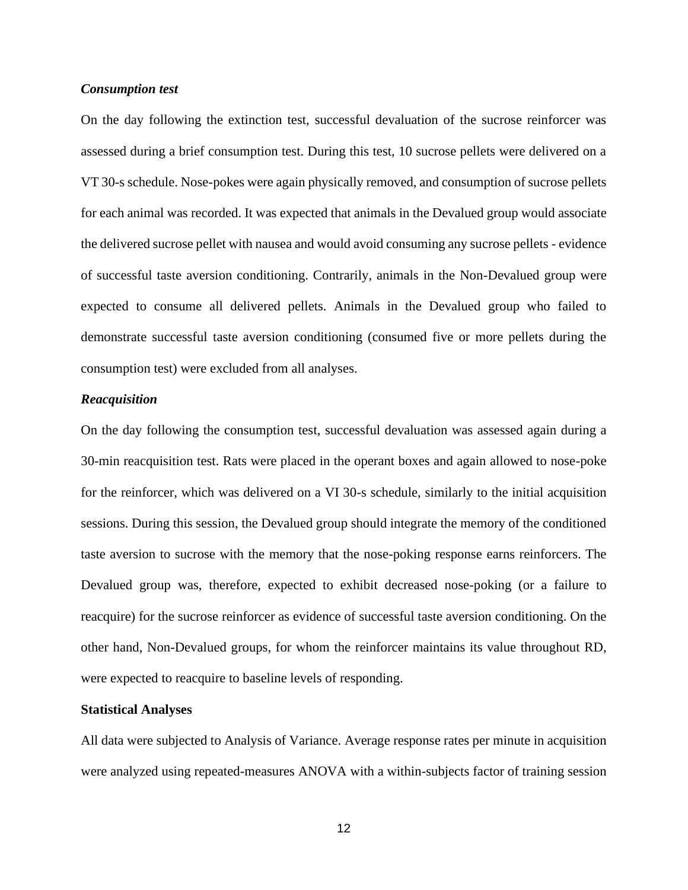#### *Consumption test*

On the day following the extinction test, successful devaluation of the sucrose reinforcer was assessed during a brief consumption test. During this test, 10 sucrose pellets were delivered on a VT 30-s schedule. Nose-pokes were again physically removed, and consumption of sucrose pellets for each animal was recorded. It was expected that animals in the Devalued group would associate the delivered sucrose pellet with nausea and would avoid consuming any sucrose pellets - evidence of successful taste aversion conditioning. Contrarily, animals in the Non-Devalued group were expected to consume all delivered pellets. Animals in the Devalued group who failed to demonstrate successful taste aversion conditioning (consumed five or more pellets during the consumption test) were excluded from all analyses.

#### *Reacquisition*

On the day following the consumption test, successful devaluation was assessed again during a 30-min reacquisition test. Rats were placed in the operant boxes and again allowed to nose-poke for the reinforcer, which was delivered on a VI 30-s schedule, similarly to the initial acquisition sessions. During this session, the Devalued group should integrate the memory of the conditioned taste aversion to sucrose with the memory that the nose-poking response earns reinforcers. The Devalued group was, therefore, expected to exhibit decreased nose-poking (or a failure to reacquire) for the sucrose reinforcer as evidence of successful taste aversion conditioning. On the other hand, Non-Devalued groups, for whom the reinforcer maintains its value throughout RD, were expected to reacquire to baseline levels of responding.

#### **Statistical Analyses**

All data were subjected to Analysis of Variance. Average response rates per minute in acquisition were analyzed using repeated-measures ANOVA with a within-subjects factor of training session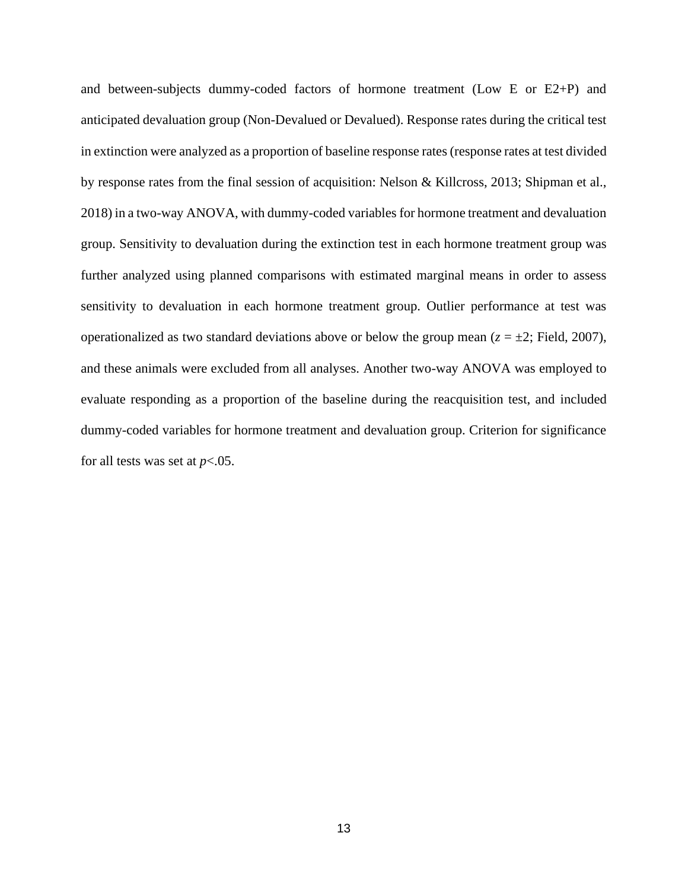and between-subjects dummy-coded factors of hormone treatment (Low E or E2+P) and anticipated devaluation group (Non-Devalued or Devalued). Response rates during the critical test in extinction were analyzed as a proportion of baseline response rates (response rates at test divided by response rates from the final session of acquisition: Nelson & Killcross, 2013; Shipman et al., 2018) in a two-way ANOVA, with dummy-coded variables for hormone treatment and devaluation group. Sensitivity to devaluation during the extinction test in each hormone treatment group was further analyzed using planned comparisons with estimated marginal means in order to assess sensitivity to devaluation in each hormone treatment group. Outlier performance at test was operationalized as two standard deviations above or below the group mean  $(z = \pm 2;$  Field, 2007), and these animals were excluded from all analyses. Another two-way ANOVA was employed to evaluate responding as a proportion of the baseline during the reacquisition test, and included dummy-coded variables for hormone treatment and devaluation group. Criterion for significance for all tests was set at  $p < .05$ .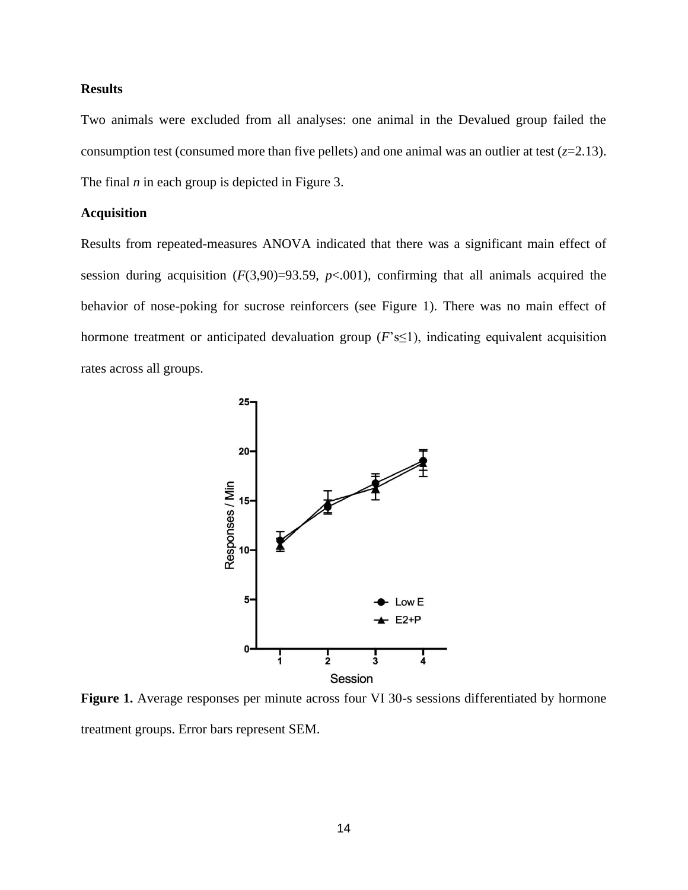#### **Results**

Two animals were excluded from all analyses: one animal in the Devalued group failed the consumption test (consumed more than five pellets) and one animal was an outlier at test  $(z=2.13)$ . The final *n* in each group is depicted in Figure 3.

#### **Acquisition**

Results from repeated-measures ANOVA indicated that there was a significant main effect of session during acquisition  $(F(3,90)=93.59, p<.001)$ , confirming that all animals acquired the behavior of nose-poking for sucrose reinforcers (see Figure 1). There was no main effect of hormone treatment or anticipated devaluation group  $(F \le 1)$ , indicating equivalent acquisition rates across all groups.



Figure 1. Average responses per minute across four VI 30-s sessions differentiated by hormone treatment groups. Error bars represent SEM.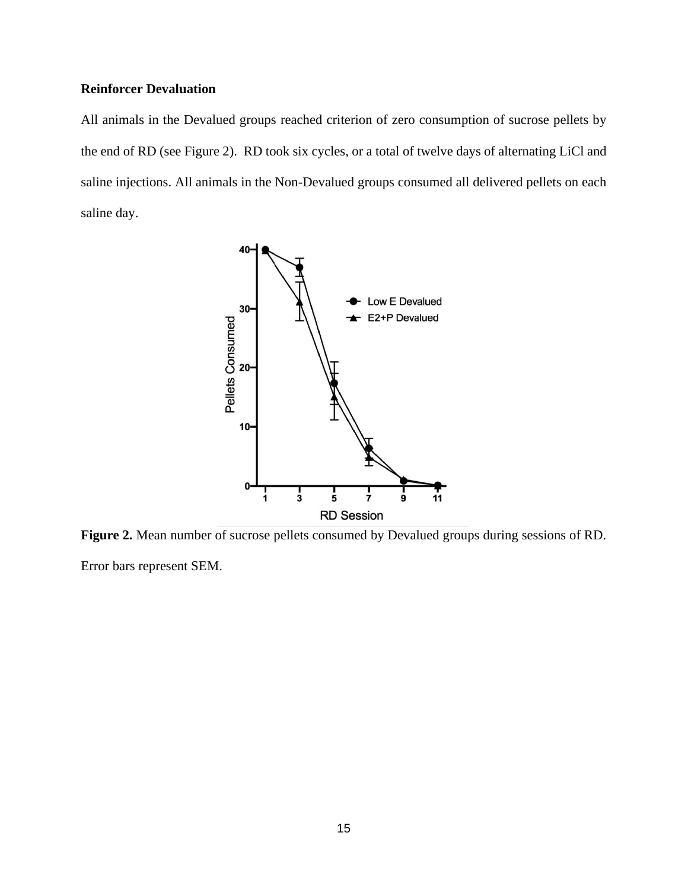### **Reinforcer Devaluation**

All animals in the Devalued groups reached criterion of zero consumption of sucrose pellets by the end of RD (see Figure 2). RD took six cycles, or a total of twelve days of alternating LiCl and saline injections. All animals in the Non-Devalued groups consumed all delivered pellets on each saline day.



**Figure 2.** Mean number of sucrose pellets consumed by Devalued groups during sessions of RD.

Error bars represent SEM.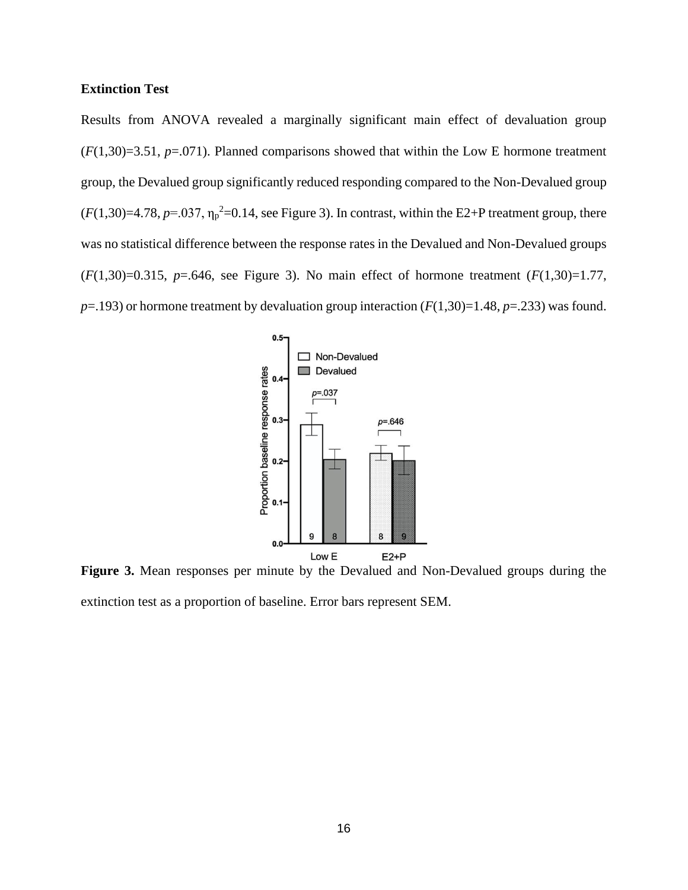#### **Extinction Test**

Results from ANOVA revealed a marginally significant main effect of devaluation group  $(F(1,30)=3.51, p=.071)$ . Planned comparisons showed that within the Low E hormone treatment group, the Devalued group significantly reduced responding compared to the Non-Devalued group  $(F(1,30)=4.78, p=.037, \eta_p^2=0.14$ , see Figure 3). In contrast, within the E2+P treatment group, there was no statistical difference between the response rates in the Devalued and Non-Devalued groups (*F*(1,30)=0.315, *p*=.646, see Figure 3). No main effect of hormone treatment (*F*(1,30)=1.77,  $p=$ .193) or hormone treatment by devaluation group interaction ( $F(1,30)=1.48$ ,  $p=.233$ ) was found.



**Figure 3.** Mean responses per minute by the Devalued and Non-Devalued groups during the extinction test as a proportion of baseline. Error bars represent SEM.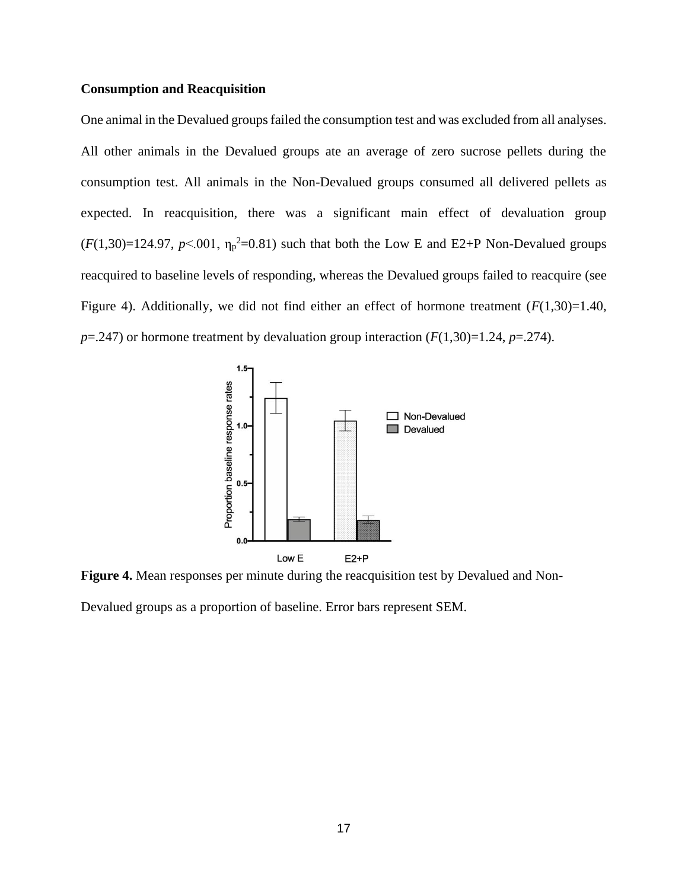#### **Consumption and Reacquisition**

One animal in the Devalued groups failed the consumption test and was excluded from all analyses. All other animals in the Devalued groups ate an average of zero sucrose pellets during the consumption test. All animals in the Non-Devalued groups consumed all delivered pellets as expected. In reacquisition, there was a significant main effect of devaluation group  $(F(1,30)=124.97, p<.001, \eta_p^2=0.81)$  such that both the Low E and E2+P Non-Devalued groups reacquired to baseline levels of responding, whereas the Devalued groups failed to reacquire (see Figure 4). Additionally, we did not find either an effect of hormone treatment  $(F(1,30)=1.40,$  $p=0.247$  or hormone treatment by devaluation group interaction  $(F(1,30)=1.24, p=.274)$ .



**Figure 4.** Mean responses per minute during the reacquisition test by Devalued and Non-

Devalued groups as a proportion of baseline. Error bars represent SEM.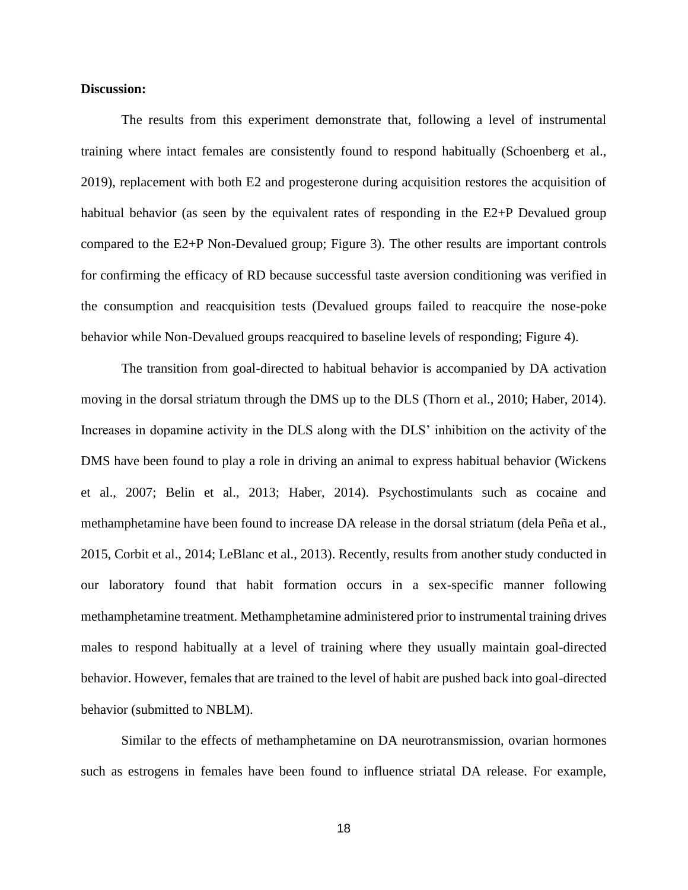#### **Discussion:**

The results from this experiment demonstrate that, following a level of instrumental training where intact females are consistently found to respond habitually (Schoenberg et al., 2019), replacement with both E2 and progesterone during acquisition restores the acquisition of habitual behavior (as seen by the equivalent rates of responding in the E2+P Devalued group compared to the E2+P Non-Devalued group; Figure 3). The other results are important controls for confirming the efficacy of RD because successful taste aversion conditioning was verified in the consumption and reacquisition tests (Devalued groups failed to reacquire the nose-poke behavior while Non-Devalued groups reacquired to baseline levels of responding; Figure 4).

The transition from goal-directed to habitual behavior is accompanied by DA activation moving in the dorsal striatum through the DMS up to the DLS (Thorn et al., 2010; Haber, 2014). Increases in dopamine activity in the DLS along with the DLS' inhibition on the activity of the DMS have been found to play a role in driving an animal to express habitual behavior (Wickens et al., 2007; Belin et al., 2013; Haber, 2014). Psychostimulants such as cocaine and methamphetamine have been found to increase DA release in the dorsal striatum (dela Peña et al., 2015, Corbit et al., 2014; LeBlanc et al., 2013). Recently, results from another study conducted in our laboratory found that habit formation occurs in a sex-specific manner following methamphetamine treatment. Methamphetamine administered prior to instrumental training drives males to respond habitually at a level of training where they usually maintain goal-directed behavior. However, females that are trained to the level of habit are pushed back into goal-directed behavior (submitted to NBLM).

Similar to the effects of methamphetamine on DA neurotransmission, ovarian hormones such as estrogens in females have been found to influence striatal DA release. For example,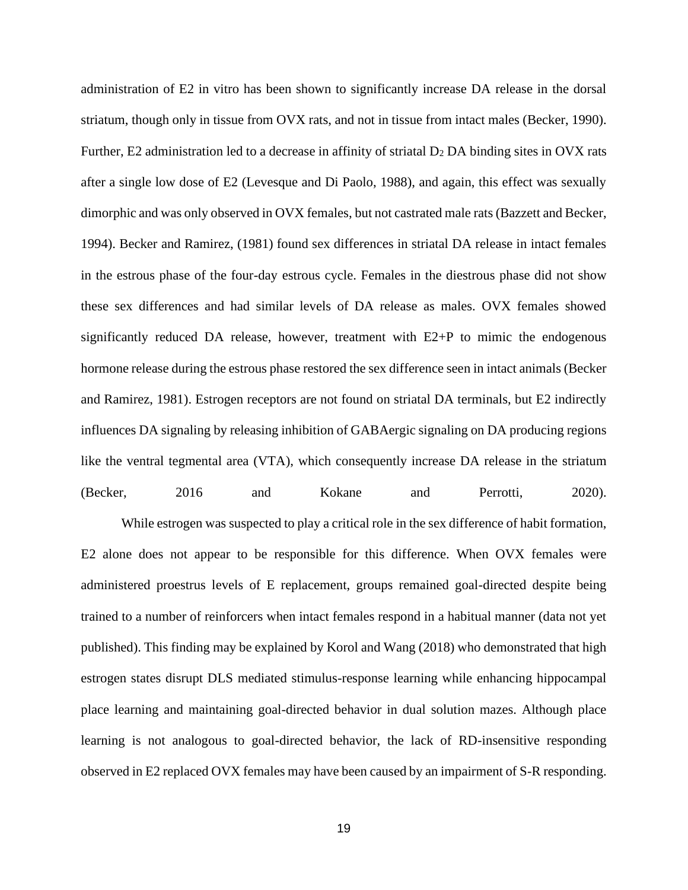administration of E2 in vitro has been shown to significantly increase DA release in the dorsal striatum, though only in tissue from OVX rats, and not in tissue from intact males (Becker, 1990). Further, E2 administration led to a decrease in affinity of striatal  $D_2$  DA binding sites in OVX rats after a single low dose of E2 (Levesque and Di Paolo, 1988), and again, this effect was sexually dimorphic and was only observed in OVX females, but not castrated male rats (Bazzett and Becker, 1994). Becker and Ramirez, (1981) found sex differences in striatal DA release in intact females in the estrous phase of the four-day estrous cycle. Females in the diestrous phase did not show these sex differences and had similar levels of DA release as males. OVX females showed significantly reduced DA release, however, treatment with E2+P to mimic the endogenous hormone release during the estrous phase restored the sex difference seen in intact animals (Becker and Ramirez, 1981). Estrogen receptors are not found on striatal DA terminals, but E2 indirectly influences DA signaling by releasing inhibition of GABAergic signaling on DA producing regions like the ventral tegmental area (VTA), which consequently increase DA release in the striatum (Becker, 2016 and Kokane and Perrotti, 2020).

While estrogen was suspected to play a critical role in the sex difference of habit formation, E2 alone does not appear to be responsible for this difference. When OVX females were administered proestrus levels of E replacement, groups remained goal-directed despite being trained to a number of reinforcers when intact females respond in a habitual manner (data not yet published). This finding may be explained by Korol and Wang (2018) who demonstrated that high estrogen states disrupt DLS mediated stimulus-response learning while enhancing hippocampal place learning and maintaining goal-directed behavior in dual solution mazes. Although place learning is not analogous to goal-directed behavior, the lack of RD-insensitive responding observed in E2 replaced OVX females may have been caused by an impairment of S-R responding.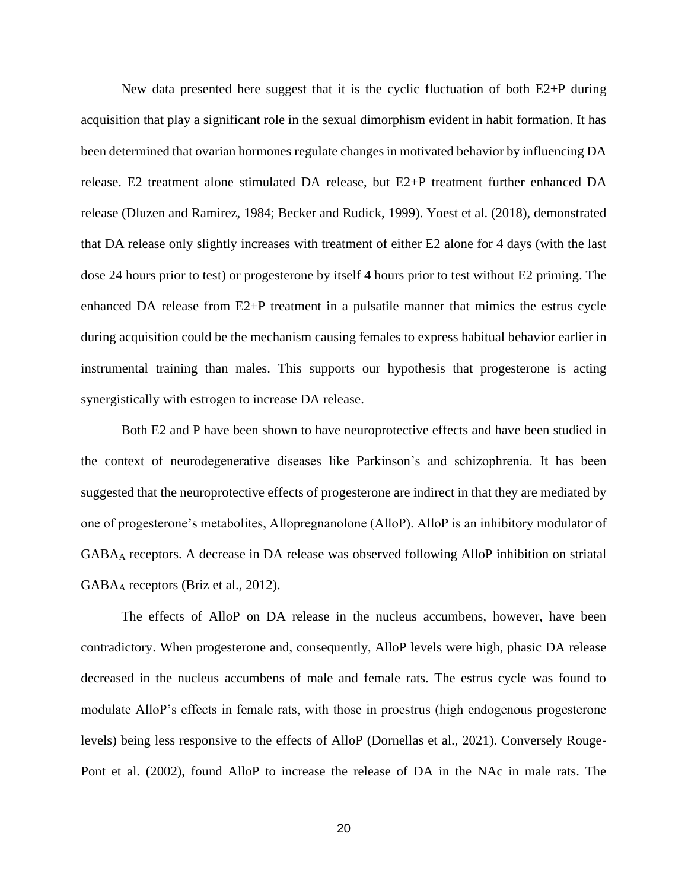New data presented here suggest that it is the cyclic fluctuation of both E2+P during acquisition that play a significant role in the sexual dimorphism evident in habit formation. It has been determined that ovarian hormones regulate changes in motivated behavior by influencing DA release. E2 treatment alone stimulated DA release, but E2+P treatment further enhanced DA release (Dluzen and Ramirez, 1984; Becker and Rudick, 1999). Yoest et al. (2018), demonstrated that DA release only slightly increases with treatment of either E2 alone for 4 days (with the last dose 24 hours prior to test) or progesterone by itself 4 hours prior to test without E2 priming. The enhanced DA release from E2+P treatment in a pulsatile manner that mimics the estrus cycle during acquisition could be the mechanism causing females to express habitual behavior earlier in instrumental training than males. This supports our hypothesis that progesterone is acting synergistically with estrogen to increase DA release.

Both E2 and P have been shown to have neuroprotective effects and have been studied in the context of neurodegenerative diseases like Parkinson's and schizophrenia. It has been suggested that the neuroprotective effects of progesterone are indirect in that they are mediated by one of progesterone's metabolites, Allopregnanolone (AlloP). AlloP is an inhibitory modulator of GABA<sup>A</sup> receptors. A decrease in DA release was observed following AlloP inhibition on striatal GABA<sup>A</sup> receptors (Briz et al., 2012).

The effects of AlloP on DA release in the nucleus accumbens, however, have been contradictory. When progesterone and, consequently, AlloP levels were high, phasic DA release decreased in the nucleus accumbens of male and female rats. The estrus cycle was found to modulate AlloP's effects in female rats, with those in proestrus (high endogenous progesterone levels) being less responsive to the effects of AlloP (Dornellas et al., 2021). Conversely Rouge-Pont et al. (2002), found AlloP to increase the release of DA in the NAc in male rats. The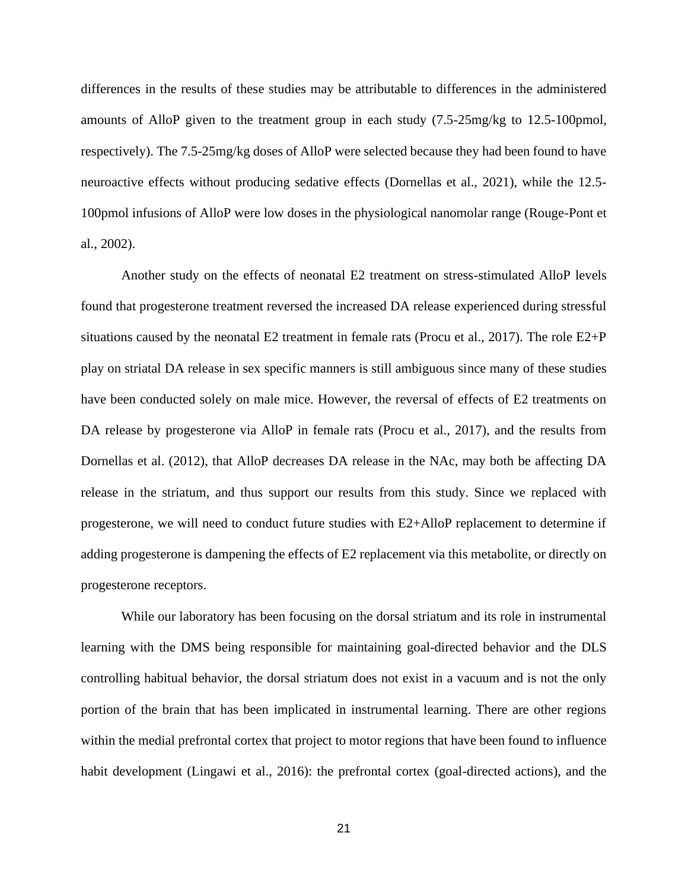differences in the results of these studies may be attributable to differences in the administered amounts of AlloP given to the treatment group in each study (7.5-25mg/kg to 12.5-100pmol, respectively). The 7.5-25mg/kg doses of AlloP were selected because they had been found to have neuroactive effects without producing sedative effects (Dornellas et al., 2021), while the 12.5- 100pmol infusions of AlloP were low doses in the physiological nanomolar range (Rouge-Pont et al., 2002).

Another study on the effects of neonatal E2 treatment on stress-stimulated AlloP levels found that progesterone treatment reversed the increased DA release experienced during stressful situations caused by the neonatal E2 treatment in female rats (Procu et al., 2017). The role  $E2+P$ play on striatal DA release in sex specific manners is still ambiguous since many of these studies have been conducted solely on male mice. However, the reversal of effects of E2 treatments on DA release by progesterone via AlloP in female rats (Procu et al., 2017), and the results from Dornellas et al. (2012), that AlloP decreases DA release in the NAc, may both be affecting DA release in the striatum, and thus support our results from this study. Since we replaced with progesterone, we will need to conduct future studies with E2+AlloP replacement to determine if adding progesterone is dampening the effects of E2 replacement via this metabolite, or directly on progesterone receptors.

While our laboratory has been focusing on the dorsal striatum and its role in instrumental learning with the DMS being responsible for maintaining goal-directed behavior and the DLS controlling habitual behavior, the dorsal striatum does not exist in a vacuum and is not the only portion of the brain that has been implicated in instrumental learning. There are other regions within the medial prefrontal cortex that project to motor regions that have been found to influence habit development (Lingawi et al., 2016): the prefrontal cortex (goal-directed actions), and the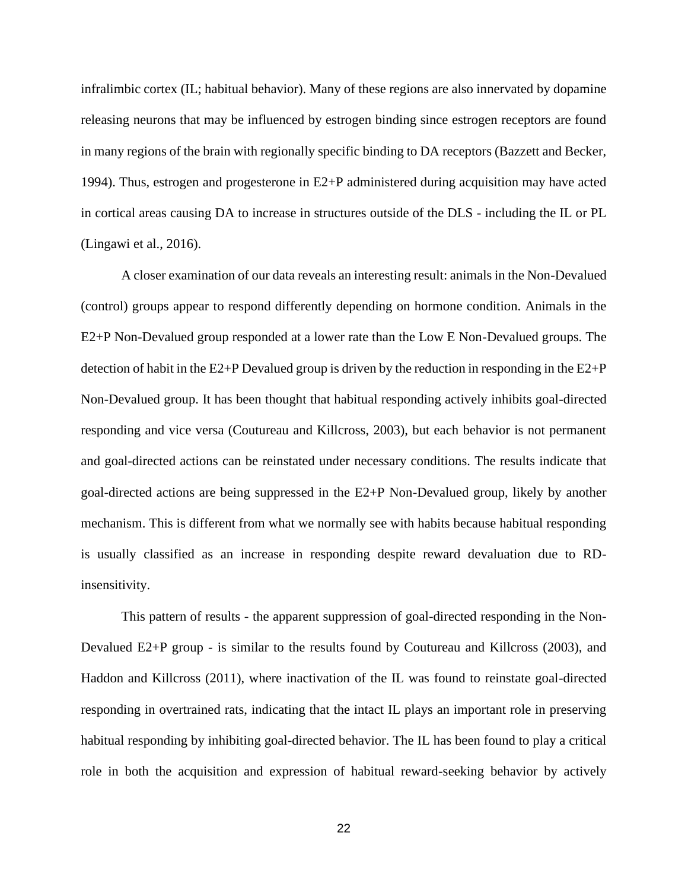infralimbic cortex (IL; habitual behavior). Many of these regions are also innervated by dopamine releasing neurons that may be influenced by estrogen binding since estrogen receptors are found in many regions of the brain with regionally specific binding to DA receptors (Bazzett and Becker, 1994). Thus, estrogen and progesterone in E2+P administered during acquisition may have acted in cortical areas causing DA to increase in structures outside of the DLS - including the IL or PL (Lingawi et al., 2016).

A closer examination of our data reveals an interesting result: animals in the Non-Devalued (control) groups appear to respond differently depending on hormone condition. Animals in the E2+P Non-Devalued group responded at a lower rate than the Low E Non-Devalued groups. The detection of habit in the  $E2+P$  Devalued group is driven by the reduction in responding in the  $E2+P$ Non-Devalued group. It has been thought that habitual responding actively inhibits goal-directed responding and vice versa (Coutureau and Killcross, 2003), but each behavior is not permanent and goal-directed actions can be reinstated under necessary conditions. The results indicate that goal-directed actions are being suppressed in the E2+P Non-Devalued group, likely by another mechanism. This is different from what we normally see with habits because habitual responding is usually classified as an increase in responding despite reward devaluation due to RDinsensitivity.

This pattern of results - the apparent suppression of goal-directed responding in the Non-Devalued E2+P group - is similar to the results found by Coutureau and Killcross (2003), and Haddon and Killcross (2011), where inactivation of the IL was found to reinstate goal-directed responding in overtrained rats, indicating that the intact IL plays an important role in preserving habitual responding by inhibiting goal-directed behavior. The IL has been found to play a critical role in both the acquisition and expression of habitual reward-seeking behavior by actively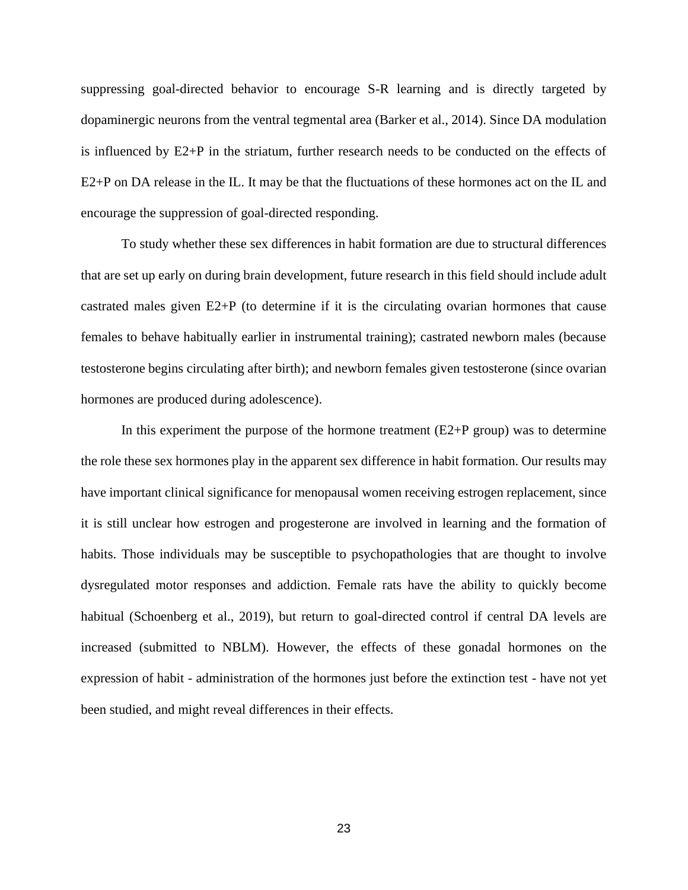suppressing goal-directed behavior to encourage S-R learning and is directly targeted by dopaminergic neurons from the ventral tegmental area (Barker et al., 2014). Since DA modulation is influenced by E2+P in the striatum, further research needs to be conducted on the effects of E2+P on DA release in the IL. It may be that the fluctuations of these hormones act on the IL and encourage the suppression of goal-directed responding.

To study whether these sex differences in habit formation are due to structural differences that are set up early on during brain development, future research in this field should include adult castrated males given E2+P (to determine if it is the circulating ovarian hormones that cause females to behave habitually earlier in instrumental training); castrated newborn males (because testosterone begins circulating after birth); and newborn females given testosterone (since ovarian hormones are produced during adolescence).

In this experiment the purpose of the hormone treatment  $(E2+P)$  group) was to determine the role these sex hormones play in the apparent sex difference in habit formation. Our results may have important clinical significance for menopausal women receiving estrogen replacement, since it is still unclear how estrogen and progesterone are involved in learning and the formation of habits. Those individuals may be susceptible to psychopathologies that are thought to involve dysregulated motor responses and addiction. Female rats have the ability to quickly become habitual (Schoenberg et al., 2019), but return to goal-directed control if central DA levels are increased (submitted to NBLM). However, the effects of these gonadal hormones on the expression of habit - administration of the hormones just before the extinction test - have not yet been studied, and might reveal differences in their effects.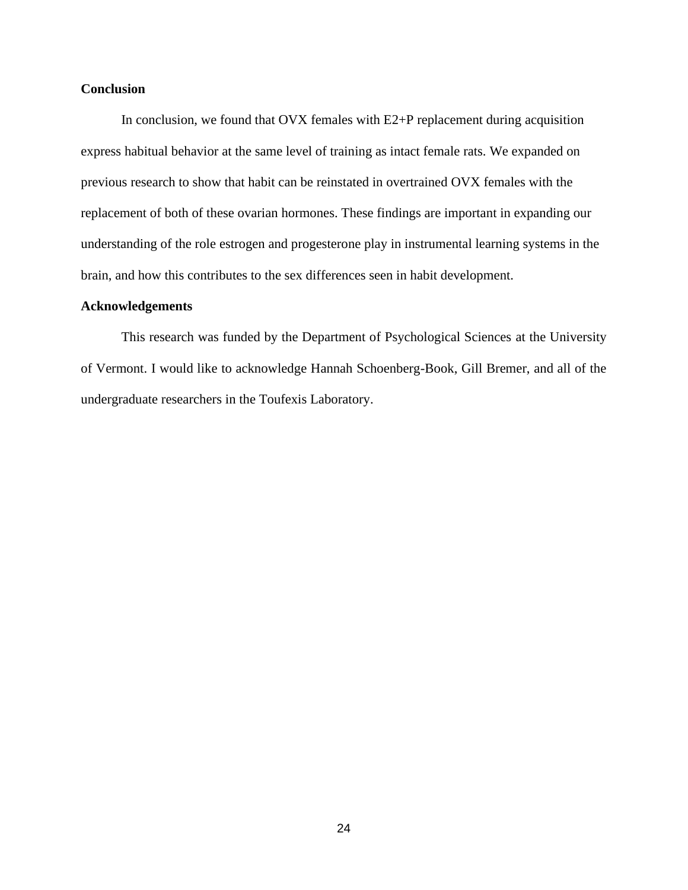#### **Conclusion**

In conclusion, we found that OVX females with E2+P replacement during acquisition express habitual behavior at the same level of training as intact female rats. We expanded on previous research to show that habit can be reinstated in overtrained OVX females with the replacement of both of these ovarian hormones. These findings are important in expanding our understanding of the role estrogen and progesterone play in instrumental learning systems in the brain, and how this contributes to the sex differences seen in habit development.

#### **Acknowledgements**

This research was funded by the Department of Psychological Sciences at the University of Vermont. I would like to acknowledge Hannah Schoenberg-Book, Gill Bremer, and all of the undergraduate researchers in the Toufexis Laboratory.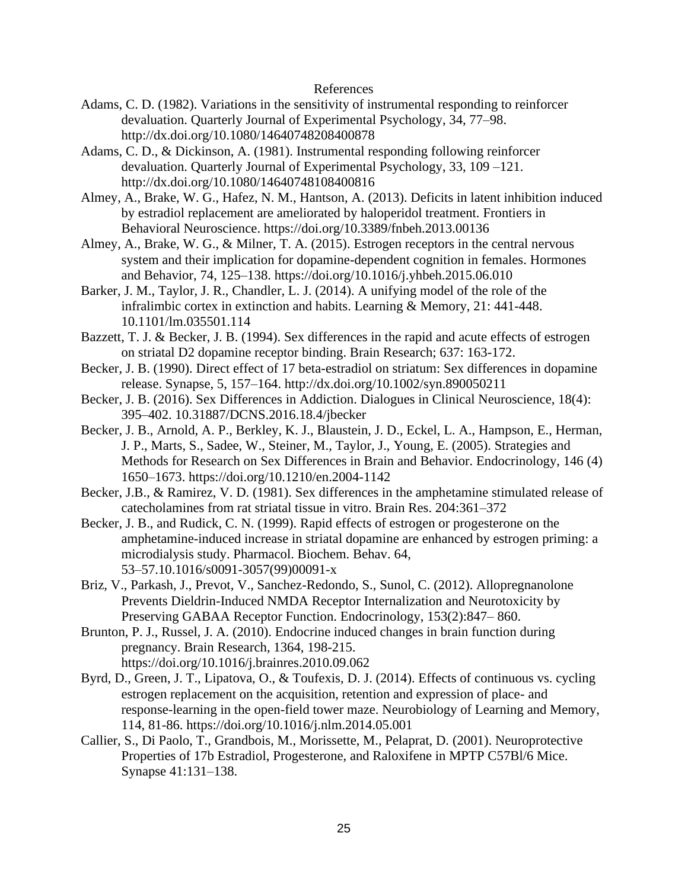#### References

- Adams, C. D. (1982). Variations in the sensitivity of instrumental responding to reinforcer devaluation. Quarterly Journal of Experimental Psychology, 34, 77–98. http://dx.doi.org/10.1080/14640748208400878
- Adams, C. D., & Dickinson, A. (1981). Instrumental responding following reinforcer devaluation. Quarterly Journal of Experimental Psychology, 33, 109 –121. http://dx.doi.org/10.1080/14640748108400816
- Almey, A., Brake, W. G., Hafez, N. M., Hantson, A. (2013). Deficits in latent inhibition induced by estradiol replacement are ameliorated by haloperidol treatment. Frontiers in Behavioral Neuroscience. https://doi.org/10.3389/fnbeh.2013.00136
- Almey, A., Brake, W. G., & Milner, T. A. (2015). Estrogen receptors in the central nervous system and their implication for dopamine-dependent cognition in females. Hormones and Behavior, 74, 125–138. https://doi.org/10.1016/j.yhbeh.2015.06.010
- Barker, J. M., Taylor, J. R., Chandler, L. J. (2014). A unifying model of the role of the infralimbic cortex in extinction and habits. Learning & Memory, 21: 441-448. 10.1101/lm.035501.114
- Bazzett, T. J. & Becker, J. B. (1994). Sex differences in the rapid and acute effects of estrogen on striatal D2 dopamine receptor binding. Brain Research; 637: 163-172.
- Becker, J. B. (1990). Direct effect of 17 beta-estradiol on striatum: Sex differences in dopamine release. Synapse, 5, 157–164. http://dx.doi.org/10.1002/syn.890050211
- Becker, J. B. (2016). Sex Differences in Addiction. Dialogues in Clinical Neuroscience, 18(4): 395–402. 10.31887/DCNS.2016.18.4/jbecker
- Becker, J. B., Arnold, A. P., Berkley, K. J., Blaustein, J. D., Eckel, L. A., Hampson, E., Herman, J. P., Marts, S., Sadee, W., Steiner, M., Taylor, J., Young, E. (2005). Strategies and Methods for Research on Sex Differences in Brain and Behavior. Endocrinology, 146 (4) 1650–1673. https://doi.org/10.1210/en.2004-1142
- Becker, J.B., & Ramirez, V. D. (1981). Sex differences in the amphetamine stimulated release of catecholamines from rat striatal tissue in vitro. Brain Res. 204:361–372
- Becker, J. B., and Rudick, C. N. (1999). Rapid effects of estrogen or progesterone on the amphetamine-induced increase in striatal dopamine are enhanced by estrogen priming: a microdialysis study. Pharmacol. Biochem. Behav. 64, 53–57.10.1016/s0091-3057(99)00091-x
- Briz, V., Parkash, J., Prevot, V., Sanchez-Redondo, S., Sunol, C. (2012). Allopregnanolone Prevents Dieldrin-Induced NMDA Receptor Internalization and Neurotoxicity by Preserving GABAA Receptor Function. Endocrinology, 153(2):847– 860.
- Brunton, P. J., Russel, J. A. (2010). Endocrine induced changes in brain function during pregnancy. Brain Research, 1364, 198-215. https://doi.org/10.1016/j.brainres.2010.09.062
- Byrd, D., Green, J. T., Lipatova, O., & Toufexis, D. J. (2014). Effects of continuous vs. cycling estrogen replacement on the acquisition, retention and expression of place- and response-learning in the open-field tower maze. Neurobiology of Learning and Memory, 114, 81-86. https://doi.org/10.1016/j.nlm.2014.05.001
- Callier, S., Di Paolo, T., Grandbois, M., Morissette, M., Pelaprat, D. (2001). Neuroprotective Properties of 17b Estradiol, Progesterone, and Raloxifene in MPTP C57Bl/6 Mice. Synapse 41:131–138.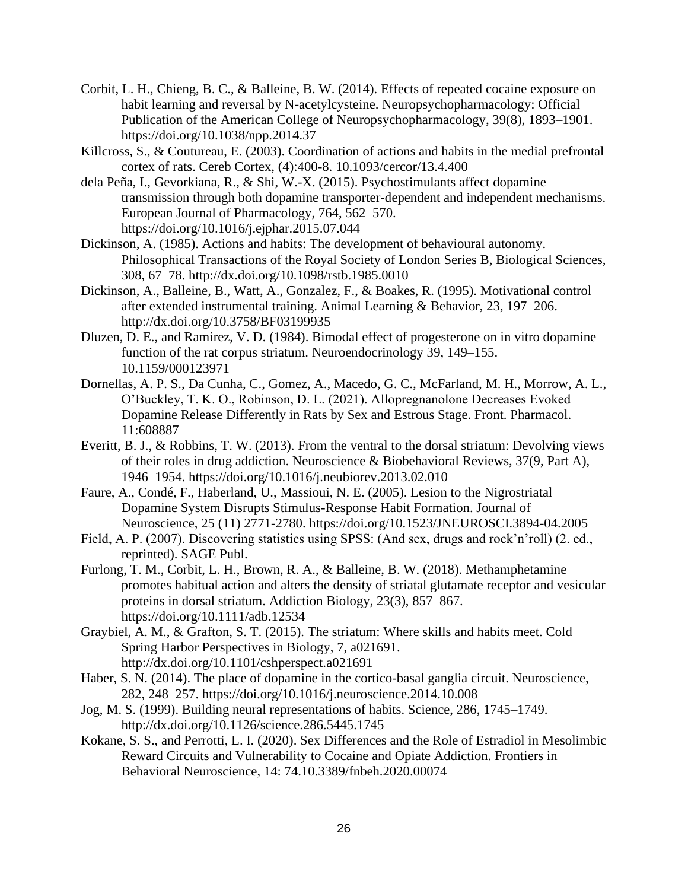- Corbit, L. H., Chieng, B. C., & Balleine, B. W. (2014). Effects of repeated cocaine exposure on habit learning and reversal by N-acetylcysteine. Neuropsychopharmacology: Official Publication of the American College of Neuropsychopharmacology, 39(8), 1893–1901. https://doi.org/10.1038/npp.2014.37
- Killcross, S., & Coutureau, E. (2003). Coordination of actions and habits in the medial prefrontal cortex of rats. Cereb Cortex, (4):400-8. 10.1093/cercor/13.4.400
- dela Peña, I., Gevorkiana, R., & Shi, W.-X. (2015). Psychostimulants affect dopamine transmission through both dopamine transporter-dependent and independent mechanisms. European Journal of Pharmacology, 764, 562–570. https://doi.org/10.1016/j.ejphar.2015.07.044
- Dickinson, A. (1985). Actions and habits: The development of behavioural autonomy. Philosophical Transactions of the Royal Society of London Series B, Biological Sciences, 308, 67–78. http://dx.doi.org/10.1098/rstb.1985.0010
- Dickinson, A., Balleine, B., Watt, A., Gonzalez, F., & Boakes, R. (1995). Motivational control after extended instrumental training. Animal Learning & Behavior, 23, 197–206. http://dx.doi.org/10.3758/BF03199935
- Dluzen, D. E., and Ramirez, V. D. (1984). Bimodal effect of progesterone on in vitro dopamine function of the rat corpus striatum. Neuroendocrinology 39, 149–155. 10.1159/000123971
- Dornellas, A. P. S., Da Cunha, C., Gomez, A., Macedo, G. C., McFarland, M. H., Morrow, A. L., O'Buckley, T. K. O., Robinson, D. L. (2021). Allopregnanolone Decreases Evoked Dopamine Release Differently in Rats by Sex and Estrous Stage. Front. Pharmacol. 11:608887
- Everitt, B. J., & Robbins, T. W. (2013). From the ventral to the dorsal striatum: Devolving views of their roles in drug addiction. Neuroscience & Biobehavioral Reviews, 37(9, Part A), 1946–1954. https://doi.org/10.1016/j.neubiorev.2013.02.010
- Faure, A., Condé, F., Haberland, U., Massioui, N. E. (2005). Lesion to the Nigrostriatal Dopamine System Disrupts Stimulus-Response Habit Formation. Journal of Neuroscience, 25 (11) 2771-2780. https://doi.org/10.1523/JNEUROSCI.3894-04.2005
- Field, A. P. (2007). Discovering statistics using SPSS: (And sex, drugs and rock'n'roll) (2. ed., reprinted). SAGE Publ.
- Furlong, T. M., Corbit, L. H., Brown, R. A., & Balleine, B. W. (2018). Methamphetamine promotes habitual action and alters the density of striatal glutamate receptor and vesicular proteins in dorsal striatum. Addiction Biology, 23(3), 857–867. https://doi.org/10.1111/adb.12534
- Graybiel, A. M., & Grafton, S. T. (2015). The striatum: Where skills and habits meet. Cold Spring Harbor Perspectives in Biology, 7, a021691. http://dx.doi.org/10.1101/cshperspect.a021691
- Haber, S. N. (2014). The place of dopamine in the cortico-basal ganglia circuit. Neuroscience, 282, 248–257. https://doi.org/10.1016/j.neuroscience.2014.10.008
- Jog, M. S. (1999). Building neural representations of habits. Science, 286, 1745–1749. http://dx.doi.org/10.1126/science.286.5445.1745
- Kokane, S. S., and Perrotti, L. I. (2020). Sex Differences and the Role of Estradiol in Mesolimbic Reward Circuits and Vulnerability to Cocaine and Opiate Addiction. Frontiers in Behavioral Neuroscience, 14: 74.10.3389/fnbeh.2020.00074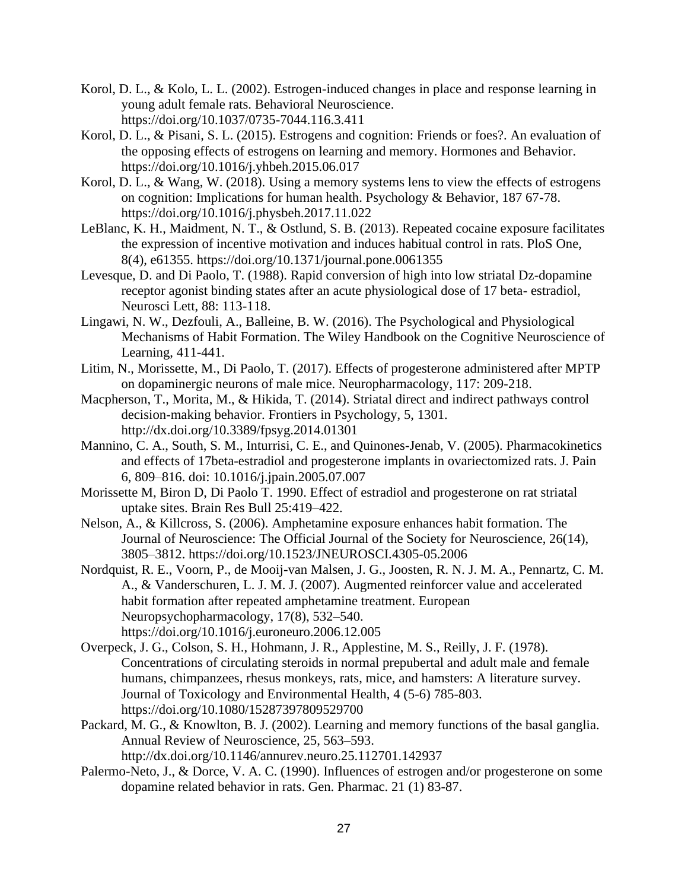- Korol, D. L., & Kolo, L. L. (2002). Estrogen-induced changes in place and response learning in young adult female rats. Behavioral Neuroscience. https://doi.org/10.1037/0735-7044.116.3.411
- Korol, D. L., & Pisani, S. L. (2015). Estrogens and cognition: Friends or foes?. An evaluation of the opposing effects of estrogens on learning and memory. Hormones and Behavior. https://doi.org/10.1016/j.yhbeh.2015.06.017
- Korol, D. L., & Wang, W. (2018). Using a memory systems lens to view the effects of estrogens on cognition: Implications for human health. Psychology & Behavior, 187 67-78. https://doi.org/10.1016/j.physbeh.2017.11.022
- LeBlanc, K. H., Maidment, N. T., & Ostlund, S. B. (2013). Repeated cocaine exposure facilitates the expression of incentive motivation and induces habitual control in rats. PloS One, 8(4), e61355. https://doi.org/10.1371/journal.pone.0061355
- Levesque, D. and Di Paolo, T. (1988). Rapid conversion of high into low striatal Dz-dopamine receptor agonist binding states after an acute physiological dose of 17 beta- estradiol, Neurosci Lett, 88: 113-118.
- Lingawi, N. W., Dezfouli, A., Balleine, B. W. (2016). The Psychological and Physiological Mechanisms of Habit Formation. The Wiley Handbook on the Cognitive Neuroscience of Learning, 411-441.
- Litim, N., Morissette, M., Di Paolo, T. (2017). Effects of progesterone administered after MPTP on dopaminergic neurons of male mice. Neuropharmacology, 117: 209-218.
- Macpherson, T., Morita, M., & Hikida, T. (2014). Striatal direct and indirect pathways control decision-making behavior. Frontiers in Psychology, 5, 1301. http://dx.doi.org/10.3389/fpsyg.2014.01301
- Mannino, C. A., South, S. M., Inturrisi, C. E., and Quinones-Jenab, V. (2005). Pharmacokinetics and effects of 17beta-estradiol and progesterone implants in ovariectomized rats. J. Pain 6, 809–816. doi: 10.1016/j.jpain.2005.07.007
- Morissette M, Biron D, Di Paolo T. 1990. Effect of estradiol and progesterone on rat striatal uptake sites. Brain Res Bull 25:419–422.
- Nelson, A., & Killcross, S. (2006). Amphetamine exposure enhances habit formation. The Journal of Neuroscience: The Official Journal of the Society for Neuroscience, 26(14), 3805–3812. https://doi.org/10.1523/JNEUROSCI.4305-05.2006
- Nordquist, R. E., Voorn, P., de Mooij-van Malsen, J. G., Joosten, R. N. J. M. A., Pennartz, C. M. A., & Vanderschuren, L. J. M. J. (2007). Augmented reinforcer value and accelerated habit formation after repeated amphetamine treatment. European Neuropsychopharmacology, 17(8), 532–540. https://doi.org/10.1016/j.euroneuro.2006.12.005
- Overpeck, J. G., Colson, S. H., Hohmann, J. R., Applestine, M. S., Reilly, J. F. (1978). Concentrations of circulating steroids in normal prepubertal and adult male and female humans, chimpanzees, rhesus monkeys, rats, mice, and hamsters: A literature survey. Journal of Toxicology and Environmental Health, 4 (5-6) 785-803. https://doi.org/10.1080/15287397809529700
- Packard, M. G., & Knowlton, B. J. (2002). Learning and memory functions of the basal ganglia. Annual Review of Neuroscience, 25, 563–593. http://dx.doi.org/10.1146/annurev.neuro.25.112701.142937
- Palermo-Neto, J., & Dorce, V. A. C. (1990). Influences of estrogen and/or progesterone on some dopamine related behavior in rats. Gen. Pharmac. 21 (1) 83-87.